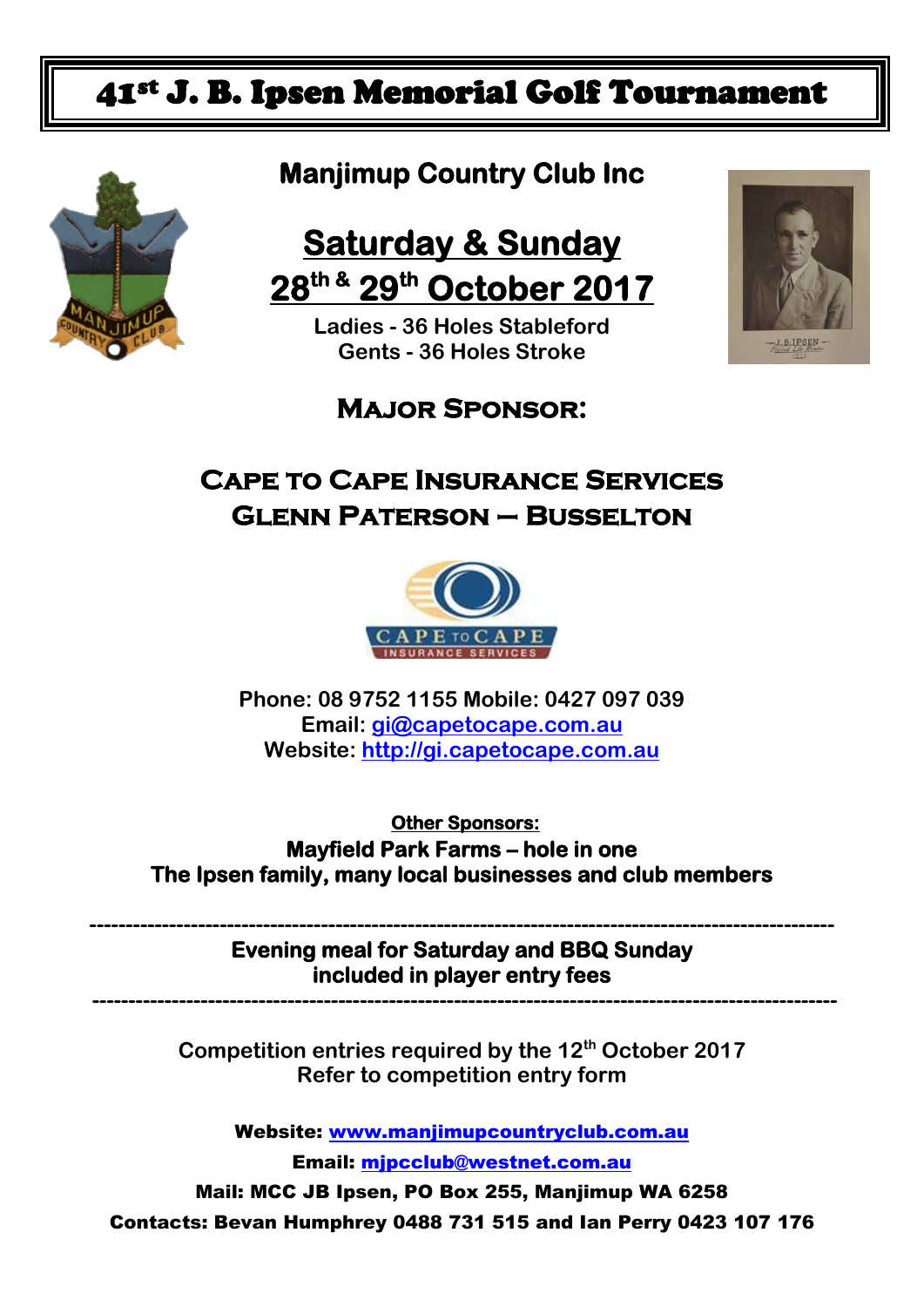## 41st J. B. Ipsen Memorial Golf Tournament



## **Manjimup Country Club Inc**

# **Saturday & Sunday 28th & 29th October 2017**

**Ladies - 36 Holes Stableford Gents - 36 Holes Stroke**



### **Major Sponsor:**

### **Cape to Cape Insurance Services Glenn Paterson – Busselton**



**Phone: 08 9752 1155 Mobile: 0427 097 039 Email: [gi@capetocape.com.au](mailto:gi@capetocape.com.au) Website: [http://gi.capetocape.com.au](http://gi.capetocape.com.au/)**

 **Other Sponsors: Mayfield Park Farms – hole in one The Ipsen family, many local businesses and club members** 

**------------------------------------------------------------------------------------------------------- Evening meal for Saturday and BBQ Sunday included in player entry fees** 

 **-------------------------------------------------------------------------------------------------------**

**Competition entries required by the 12th October 2017 Refer to competition entry form**

Website: www.maniimupcountryclub.com.au

Email: [mjpcclub@westnet.com.au](mailto:mjpcclub@westnet.com.au)

Mail: MCC JB Ipsen, PO Box 255, Manjimup WA 6258 Contacts: Bevan Humphrey 0488 731 515 and Ian Perry 0423 107 176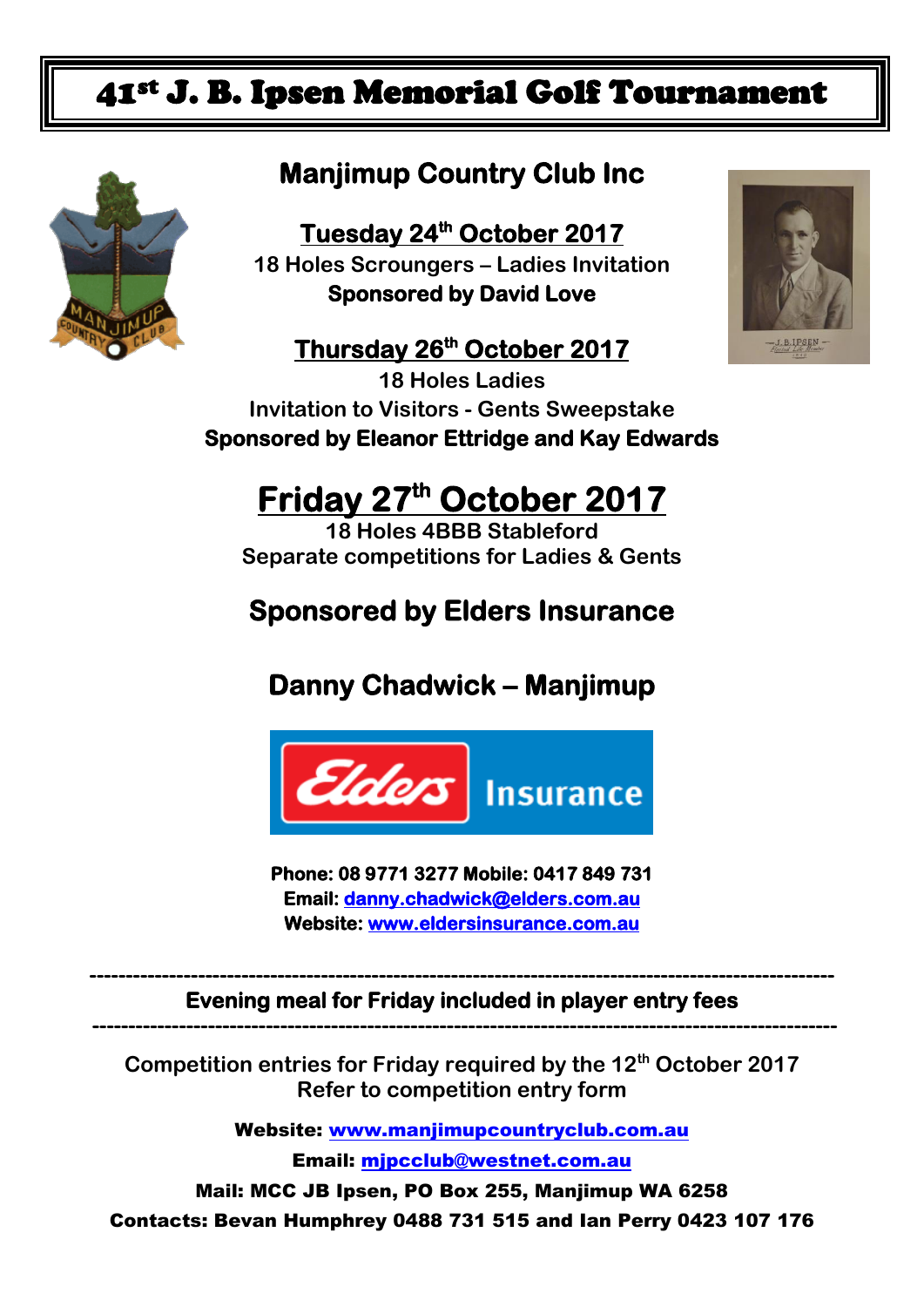## 41st J. B. Ipsen Memorial Golf Tournament



## **Manjimup Country Club Inc**

**Tuesday 24 th October 2017 18 Holes Scroungers – Ladies Invitation Sponsored by David Love** 

### **Thursday 26 th October 2017**

**18 Holes Ladies Invitation to Visitors - Gents Sweepstake Sponsored by Eleanor Ettridge and Kay Edwards** 

# **Friday 27 th October 2017**

**18 Holes 4BBB Stableford Separate competitions for Ladies & Gents**

### **Sponsored by Elders Insurance**

**Danny Chadwick – Manjimup** 



**Phone: 08 9771 3277 Mobile: 0417 849 731 Email: [danny.chadwick@elders.com.au](mailto:danny.chadwick@elders.com.au)  Website: [www.eldersinsurance.com.au](http://www.eldersinsurance.com.au/)** 

**------------------------------------------------------------------------------------------------------- Evening meal for Friday included in player entry fees -------------------------------------------------------------------------------------------------------**

**Competition entries for Friday required by the 12th October 2017 Refer to competition entry form**

Website: [www.manjimupcountryclub.com.au](http://www.manjimupcountryclub.com.au/)

Email: [mjpcclub@westnet.com.au](mailto:mjpcclub@westnet.com.au)

Mail: MCC JB Ipsen, PO Box 255, Manjimup WA 6258 Contacts: Bevan Humphrey 0488 731 515 and Ian Perry 0423 107 176